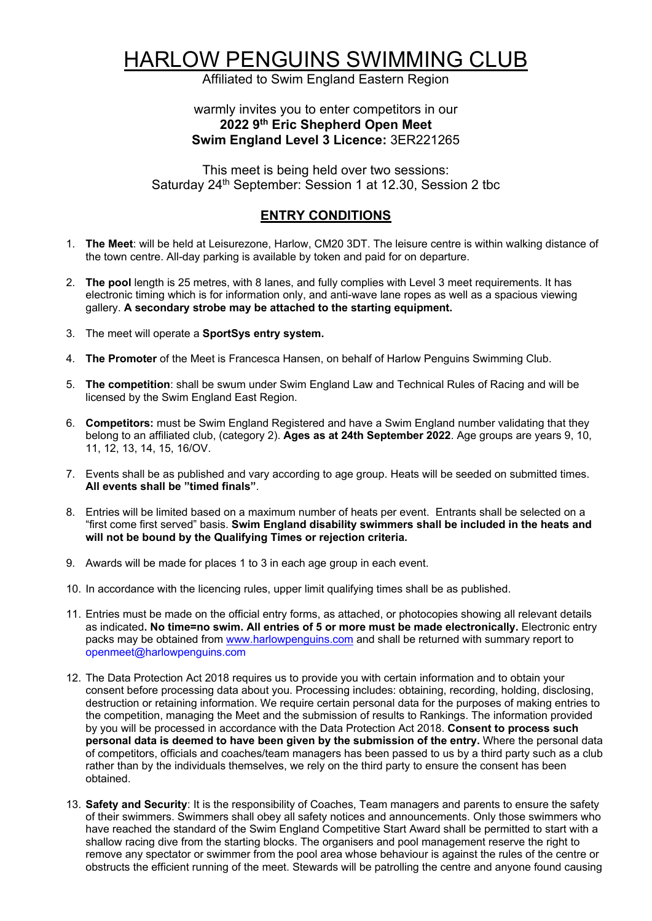## HARLOW PENGUINS SWIMMING CLUB

Affiliated to Swim England Eastern Region

## warmly invites you to enter competitors in our **2022 9th Eric Shepherd Open Meet Swim England Level 3 Licence:** 3ER221265

This meet is being held over two sessions: Saturday 24<sup>th</sup> September: Session 1 at 12.30, Session 2 tbc

## **ENTRY CONDITIONS**

- 1. **The Meet**: will be held at Leisurezone, Harlow, CM20 3DT. The leisure centre is within walking distance of the town centre. All-day parking is available by token and paid for on departure.
- 2. **The pool** length is 25 metres, with 8 lanes, and fully complies with Level 3 meet requirements. It has electronic timing which is for information only, and anti-wave lane ropes as well as a spacious viewing gallery. **A secondary strobe may be attached to the starting equipment.**
- 3. The meet will operate a **SportSys entry system.**
- 4. **The Promoter** of the Meet is Francesca Hansen, on behalf of Harlow Penguins Swimming Club.
- 5. **The competition**: shall be swum under Swim England Law and Technical Rules of Racing and will be licensed by the Swim England East Region.
- 6. **Competitors:** must be Swim England Registered and have a Swim England number validating that they belong to an affiliated club, (category 2). **Ages as at 24th September 2022**. Age groups are years 9, 10, 11, 12, 13, 14, 15, 16/OV.
- 7. Events shall be as published and vary according to age group. Heats will be seeded on submitted times. **All events shall be "timed finals"**.
- 8. Entries will be limited based on a maximum number of heats per event. Entrants shall be selected on a "first come first served" basis. **Swim England disability swimmers shall be included in the heats and will not be bound by the Qualifying Times or rejection criteria.**
- 9. Awards will be made for places 1 to 3 in each age group in each event.
- 10. In accordance with the licencing rules, upper limit qualifying times shall be as published.
- 11. Entries must be made on the official entry forms, as attached, or photocopies showing all relevant details as indicated**. No time=no swim. All entries of 5 or more must be made electronically.** Electronic entry packs may be obtained from www.harlowpenguins.com and shall be returned with summary report to openmeet@harlowpenguins.com
- 12. The Data Protection Act 2018 requires us to provide you with certain information and to obtain your consent before processing data about you. Processing includes: obtaining, recording, holding, disclosing, destruction or retaining information. We require certain personal data for the purposes of making entries to the competition, managing the Meet and the submission of results to Rankings. The information provided by you will be processed in accordance with the Data Protection Act 2018. **Consent to process such personal data is deemed to have been given by the submission of the entry.** Where the personal data of competitors, officials and coaches/team managers has been passed to us by a third party such as a club rather than by the individuals themselves, we rely on the third party to ensure the consent has been obtained.
- 13. **Safety and Security**: It is the responsibility of Coaches, Team managers and parents to ensure the safety of their swimmers. Swimmers shall obey all safety notices and announcements. Only those swimmers who have reached the standard of the Swim England Competitive Start Award shall be permitted to start with a shallow racing dive from the starting blocks. The organisers and pool management reserve the right to remove any spectator or swimmer from the pool area whose behaviour is against the rules of the centre or obstructs the efficient running of the meet. Stewards will be patrolling the centre and anyone found causing